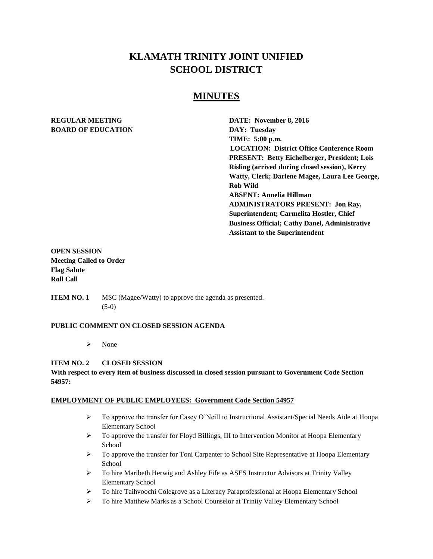# **KLAMATH TRINITY JOINT UNIFIED SCHOOL DISTRICT**

## **MINUTES**

# **BOARD OF EDUCATION DAY: Tuesday**

**REGULAR MEETING DATE: November 8, 2016 TIME: 5:00 p.m. LOCATION: District Office Conference Room PRESENT: Betty Eichelberger, President; Lois Risling (arrived during closed session), Kerry Watty, Clerk; Darlene Magee, Laura Lee George, Rob Wild ABSENT: Annelia Hillman ADMINISTRATORS PRESENT: Jon Ray, Superintendent; Carmelita Hostler, Chief Business Official; Cathy Danel, Administrative Assistant to the Superintendent** 

## **OPEN SESSION Meeting Called to Order Flag Salute Roll Call**

**ITEM NO. 1** MSC (Magee/Watty) to approve the agenda as presented. (5-0)

#### **PUBLIC COMMENT ON CLOSED SESSION AGENDA**

 $\triangleright$  None

## **ITEM NO. 2 CLOSED SESSION**

#### **With respect to every item of business discussed in closed session pursuant to Government Code Section 54957:**

#### **EMPLOYMENT OF PUBLIC EMPLOYEES: Government Code Section 54957**

- $\triangleright$  To approve the transfer for Casey O'Neill to Instructional Assistant/Special Needs Aide at Hoopa Elementary School
- $\triangleright$  To approve the transfer for Floyd Billings, III to Intervention Monitor at Hoopa Elementary **School**
- $\triangleright$  To approve the transfer for Toni Carpenter to School Site Representative at Hoopa Elementary School
- To hire Maribeth Herwig and Ashley Fife as ASES Instructor Advisors at Trinity Valley Elementary School
- To hire Taihvoochi Colegrove as a Literacy Paraprofessional at Hoopa Elementary School
- To hire Matthew Marks as a School Counselor at Trinity Valley Elementary School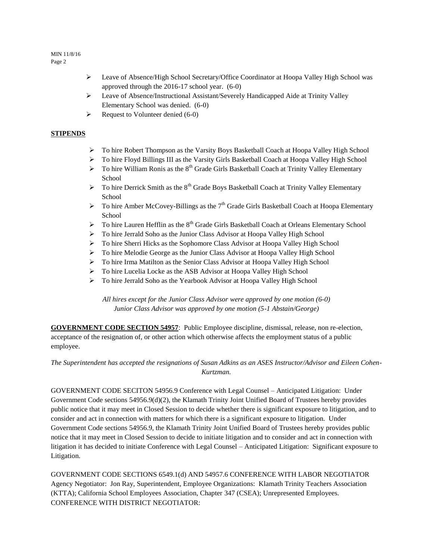#### MIN 11/8/16 Page 2

- Leave of Absence/High School Secretary/Office Coordinator at Hoopa Valley High School was approved through the 2016-17 school year. (6-0)
- Leave of Absence/Instructional Assistant/Severely Handicapped Aide at Trinity Valley Elementary School was denied. (6-0)
- $\triangleright$  Request to Volunteer denied (6-0)

#### **STIPENDS**

- To hire Robert Thompson as the Varsity Boys Basketball Coach at Hoopa Valley High School
- To hire Floyd Billings III as the Varsity Girls Basketball Coach at Hoopa Valley High School
- $\triangleright$  To hire William Ronis as the 8<sup>th</sup> Grade Girls Basketball Coach at Trinity Valley Elementary School
- $\triangleright$  To hire Derrick Smith as the 8<sup>th</sup> Grade Boys Basketball Coach at Trinity Valley Elementary School
- $\triangleright$  To hire Amber McCovey-Billings as the 7<sup>th</sup> Grade Girls Basketball Coach at Hoopa Elementary **School**
- $\triangleright$  To hire Lauren Hefflin as the 8<sup>th</sup> Grade Girls Basketball Coach at Orleans Elementary School
- To hire Jerrald Soho as the Junior Class Advisor at Hoopa Valley High School
- To hire Sherri Hicks as the Sophomore Class Advisor at Hoopa Valley High School
- > To hire Melodie George as the Junior Class Advisor at Hoopa Valley High School
- To hire Irma Matilton as the Senior Class Advisor at Hoopa Valley High School
- To hire Lucelia Locke as the ASB Advisor at Hoopa Valley High School
- To hire Jerrald Soho as the Yearbook Advisor at Hoopa Valley High School

*All hires except for the Junior Class Advisor were approved by one motion (6-0) Junior Class Advisor was approved by one motion (5-1 Abstain/George)* 

**GOVERNMENT CODE SECTION 54957**: Public Employee discipline, dismissal, release, non re-election, acceptance of the resignation of, or other action which otherwise affects the employment status of a public employee.

## *The Superintendent has accepted the resignations of Susan Adkins as an ASES Instructor/Advisor and Eileen Cohen-Kurtzman.*

GOVERNMENT CODE SECITON 54956.9 Conference with Legal Counsel – Anticipated Litigation: Under Government Code sections 54956.9(d)(2), the Klamath Trinity Joint Unified Board of Trustees hereby provides public notice that it may meet in Closed Session to decide whether there is significant exposure to litigation, and to consider and act in connection with matters for which there is a significant exposure to litigation. Under Government Code sections 54956.9, the Klamath Trinity Joint Unified Board of Trustees hereby provides public notice that it may meet in Closed Session to decide to initiate litigation and to consider and act in connection with litigation it has decided to initiate Conference with Legal Counsel – Anticipated Litigation: Significant exposure to Litigation.

GOVERNMENT CODE SECTIONS 6549.1(d) AND 54957.6 CONFERENCE WITH LABOR NEGOTIATOR Agency Negotiator: Jon Ray, Superintendent, Employee Organizations: Klamath Trinity Teachers Association (KTTA); California School Employees Association, Chapter 347 (CSEA); Unrepresented Employees. CONFERENCE WITH DISTRICT NEGOTIATOR: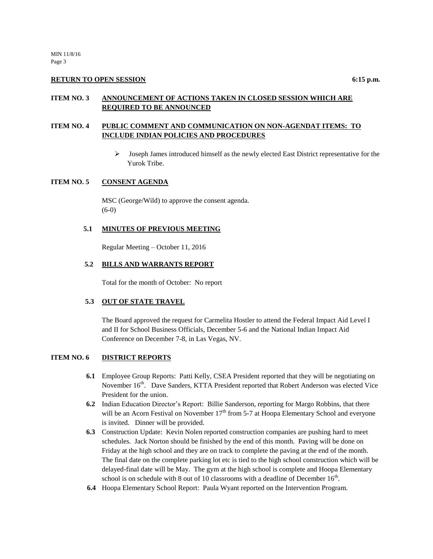#### **RETURN TO OPEN SESSION** 6:15 **p.m.**

#### **ITEM NO. 3 ANNOUNCEMENT OF ACTIONS TAKEN IN CLOSED SESSION WHICH ARE REQUIRED TO BE ANNOUNCED**

## **ITEM NO. 4 PUBLIC COMMENT AND COMMUNICATION ON NON-AGENDAT ITEMS: TO INCLUDE INDIAN POLICIES AND PROCEDURES**

 $\triangleright$  Joseph James introduced himself as the newly elected East District representative for the Yurok Tribe.

#### **ITEM NO. 5 CONSENT AGENDA**

MSC (George/Wild) to approve the consent agenda. (6-0)

#### **5.1 MINUTES OF PREVIOUS MEETING**

Regular Meeting – October 11, 2016

#### **5.2 BILLS AND WARRANTS REPORT**

Total for the month of October: No report

#### **5.3 OUT OF STATE TRAVEL**

The Board approved the request for Carmelita Hostler to attend the Federal Impact Aid Level I and II for School Business Officials, December 5-6 and the National Indian Impact Aid Conference on December 7-8, in Las Vegas, NV.

#### **ITEM NO. 6 DISTRICT REPORTS**

- **6.1** Employee Group Reports: Patti Kelly, CSEA President reported that they will be negotiating on November 16<sup>th</sup>. Dave Sanders, KTTA President reported that Robert Anderson was elected Vice President for the union.
- **6.2** Indian Education Director's Report: Billie Sanderson, reporting for Margo Robbins, that there will be an Acorn Festival on November  $17<sup>th</sup>$  from 5-7 at Hoopa Elementary School and everyone is invited. Dinner will be provided.
- **6.3** Construction Update: Kevin Nolen reported construction companies are pushing hard to meet schedules. Jack Norton should be finished by the end of this month. Paving will be done on Friday at the high school and they are on track to complete the paving at the end of the month. The final date on the complete parking lot etc is tied to the high school construction which will be delayed-final date will be May. The gym at the high school is complete and Hoopa Elementary school is on schedule with 8 out of 10 classrooms with a deadline of December  $16<sup>th</sup>$ .
- **6.4** Hoopa Elementary School Report: Paula Wyant reported on the Intervention Program.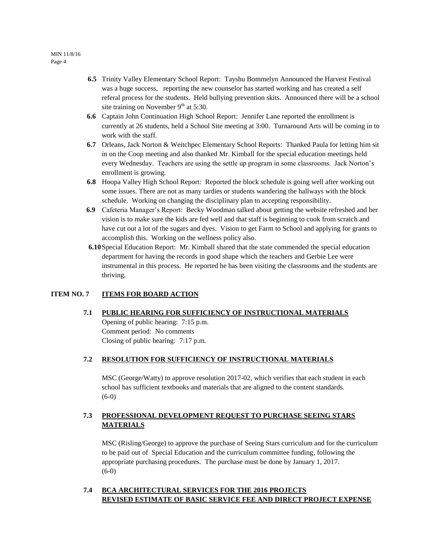- **6.5** Trinity Valley Elementary School Report: Tayshu Bommelyn Announced the Harvest Festival was a huge success, reporting the new counselor has started working and has created a self referal process for the students. Held bullying prevention skits. Announced there will be a school site training on November  $9<sup>th</sup>$  at 5:30.
- **6.6** Captain John Continuation High School Report: Jennifer Lane reported the enrollment is currently at 26 students, held a School Site meeting at 3:00. Turnaround Arts will be coming in to work with the staff.
- **6.7** Orleans, Jack Norton & Weitchpec Elementary School Reports: Thanked Paula for letting him sit in on the Coop meeting and also thanked Mr. Kimball for the special education meetings held every Wednesday. Teachers are using the settle up program in some classrooms. Jack Norton's enrollment is growing.
- **6.8** Hoopa Valley High School Report: Reported the block schedule is going well after working out some issues. There are not as many tardies or students wandering the hallways with the block schedule. Working on changing the disciplinary plan to accepting responsibility.
- **6.9** Cafeteria Manager's Report: Becky Woodman talked about getting the website refreshed and her vision is to make sure the kids are fed well and that staff is beginning to cook from scratch and have cut out a lot of the sugars and dyes. Vision to get Farm to School and applying for grants to accomplish this. Working on the wellness policy also.
- **6.10**Special Education Report: Mr. Kimball shared that the state commended the special education department for having the records in good shape which the teachers and Gerbie Lee were instrumental in this process. He reported he has been visiting the classrooms and the students are thriving.

#### **ITEM NO. 7 ITEMS FOR BOARD ACTION**

#### **7.1 PUBLIC HEARING FOR SUFFICIENCY OF INSTRUCTIONAL MATERIALS**

Opening of public hearing: 7:15 p.m. Comment period: No comments Closing of public hearing: 7:17 p.m.

#### **7.2 RESOLUTION FOR SUFFICIENCY OF INSTRUCTIONAL MATERIALS**

MSC (George/Watty) to approve resolution 2017-02, which verifies that each student in each school has sufficient textbooks and materials that are aligned to the content standards. (6-0)

## **7.3 PROFESSIONAL DEVELOPMENT REQUEST TO PURCHASE SEEING STARS MATERIALS**

MSC (Risling/George) to approve the purchase of Seeing Stars curriculum and for the curriculum to be paid out of Special Education and the curriculum committee funding, following the appropriate purchasing procedures. The purchase must be done by January 1, 2017.  $(6-0)$ 

## **7.4 BCA ARCHITECTURAL SERVICES FOR THE 2016 PROJECTS REVISED ESTIMATE OF BASIC SERVICE FEE AND DIRECT PROJECT EXPENSE**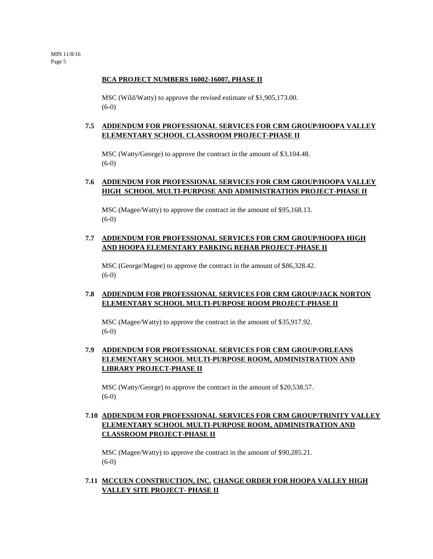#### **BCA PROJECT NUMBERS 16002-16007, PHASE II**

MSC (Wild/Watty) to approve the revised estimate of \$1,905,173.00. (6-0)

#### **7.5 ADDENDUM FOR PROFESSIONAL SERVICES FOR CRM GROUP/HOOPA VALLEY ELEMENTARY SCHOOL CLASSROOM PROJECT-PHASE II**

MSC (Watty/George) to approve the contract in the amount of \$3,104.48. (6-0)

#### **7.6 ADDENDUM FOR PROFESSIONAL SERVICES FOR CRM GROUP/HOOPA VALLEY HIGH SCHOOL MULTI-PURPOSE AND ADMINISTRATION PROJECT-PHASE II**

MSC (Magee/Watty) to approve the contract in the amount of \$95,168.13.  $(6-0)$ 

#### **7.7 ADDENDUM FOR PROFESSIONAL SERVICES FOR CRM GROUP/HOOPA HIGH AND HOOPA ELEMENTARY PARKING REHAB PROJECT-PHASE II**

MSC (George/Magee) to approve the contract in the amount of \$86,328.42. (6-0)

#### **7.8 ADDENDUM FOR PROFESSIONAL SERVICES FOR CRM GROUP/JACK NORTON ELEMENTARY SCHOOL MULTI-PURPOSE ROOM PROJECT-PHASE II**

MSC (Magee/Watty) to approve the contract in the amount of \$35,917.92. (6-0)

## **7.9 ADDENDUM FOR PROFESSIONAL SERVICES FOR CRM GROUP/ORLEANS ELEMENTARY SCHOOL MULTI-PURPOSE ROOM, ADMINISTRATION AND LIBRARY PROJECT-PHASE II**

MSC (Watty/George) to approve the contract in the amount of \$20,538.57. (6-0)

## **7.10 ADDENDUM FOR PROFESSIONAL SERVICES FOR CRM GROUP/TRINITY VALLEY ELEMENTARY SCHOOL MULTI-PURPOSE ROOM, ADMINISTRATION AND CLASSROOM PROJECT-PHASE II**

MSC (Magee/Watty) to approve the contract in the amount of \$90,285.21. (6-0)

#### **7.11 MCCUEN CONSTRUCTION, INC. CHANGE ORDER FOR HOOPA VALLEY HIGH VALLEY SITE PROJECT- PHASE II**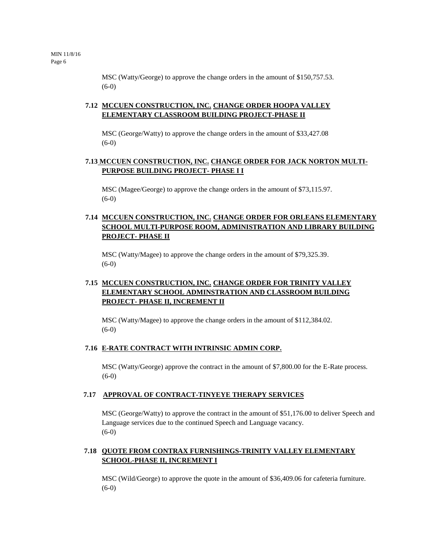MSC (Watty/George) to approve the change orders in the amount of \$150,757.53. (6-0)

## **7.12 MCCUEN CONSTRUCTION, INC. CHANGE ORDER HOOPA VALLEY ELEMENTARY CLASSROOM BUILDING PROJECT-PHASE II**

MSC (George/Watty) to approve the change orders in the amount of \$33,427.08 (6-0)

## **7.13 MCCUEN CONSTRUCTION, INC. CHANGE ORDER FOR JACK NORTON MULTI-PURPOSE BUILDING PROJECT- PHASE I I**

MSC (Magee/George) to approve the change orders in the amount of \$73,115.97. (6-0)

## **7.14 MCCUEN CONSTRUCTION, INC. CHANGE ORDER FOR ORLEANS ELEMENTARY SCHOOL MULTI-PURPOSE ROOM, ADMINISTRATION AND LIBRARY BUILDING PROJECT- PHASE II**

MSC (Watty/Magee) to approve the change orders in the amount of \$79,325.39. (6-0)

## **7.15 MCCUEN CONSTRUCTION, INC. CHANGE ORDER FOR TRINITY VALLEY ELEMENTARY SCHOOL ADMINSTRATION AND CLASSROOM BUILDING PROJECT- PHASE II, INCREMENT II**

MSC (Watty/Magee) to approve the change orders in the amount of \$112,384.02. (6-0)

#### **7.16 E-RATE CONTRACT WITH INTRINSIC ADMIN CORP.**

MSC (Watty/George) approve the contract in the amount of \$7,800.00 for the E-Rate process. (6-0)

#### **7.17 APPROVAL OF CONTRACT-TINYEYE THERAPY SERVICES**

MSC (George/Watty) to approve the contract in the amount of \$51,176.00 to deliver Speech and Language services due to the continued Speech and Language vacancy.  $(6-0)$ 

## **7.18 QUOTE FROM CONTRAX FURNISHINGS-TRINITY VALLEY ELEMENTARY SCHOOL-PHASE II, INCREMENT I**

MSC (Wild/George) to approve the quote in the amount of \$36,409.06 for cafeteria furniture. (6-0)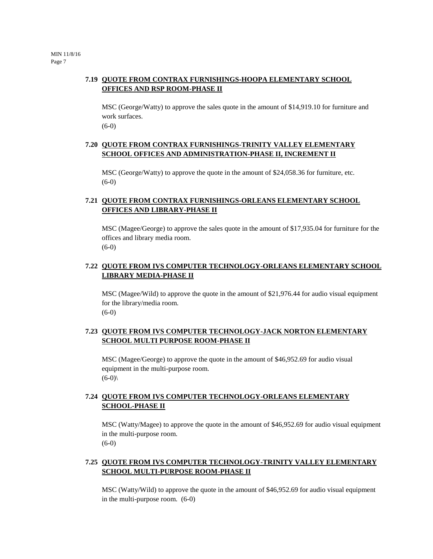## **7.19 QUOTE FROM CONTRAX FURNISHINGS-HOOPA ELEMENTARY SCHOOL OFFICES AND RSP ROOM-PHASE II**

MSC (George/Watty) to approve the sales quote in the amount of \$14,919.10 for furniture and work surfaces.  $(6-0)$ 

## **7.20 QUOTE FROM CONTRAX FURNISHINGS-TRINITY VALLEY ELEMENTARY SCHOOL OFFICES AND ADMINISTRATION-PHASE II, INCREMENT II**

MSC (George/Watty) to approve the quote in the amount of \$24,058.36 for furniture, etc. (6-0)

## **7.21 QUOTE FROM CONTRAX FURNISHINGS-ORLEANS ELEMENTARY SCHOOL OFFICES AND LIBRARY-PHASE II**

MSC (Magee/George) to approve the sales quote in the amount of \$17,935.04 for furniture for the offices and library media room.  $(6-0)$ 

## **7.22 QUOTE FROM IVS COMPUTER TECHNOLOGY-ORLEANS ELEMENTARY SCHOOL LIBRARY MEDIA-PHASE II**

MSC (Magee/Wild) to approve the quote in the amount of \$21,976.44 for audio visual equipment for the library/media room.  $(6-0)$ 

## **7.23 QUOTE FROM IVS COMPUTER TECHNOLOGY-JACK NORTON ELEMENTARY SCHOOL MULTI PURPOSE ROOM-PHASE II**

MSC (Magee/George) to approve the quote in the amount of \$46,952.69 for audio visual equipment in the multi-purpose room.  $(6-0)$ 

## **7.24 QUOTE FROM IVS COMPUTER TECHNOLOGY-ORLEANS ELEMENTARY SCHOOL-PHASE II**

MSC (Watty/Magee) to approve the quote in the amount of \$46,952.69 for audio visual equipment in the multi-purpose room. (6-0)

## **7.25 QUOTE FROM IVS COMPUTER TECHNOLOGY-TRINITY VALLEY ELEMENTARY SCHOOL MULTI-PURPOSE ROOM-PHASE II**

MSC (Watty/Wild) to approve the quote in the amount of \$46,952.69 for audio visual equipment in the multi-purpose room. (6-0)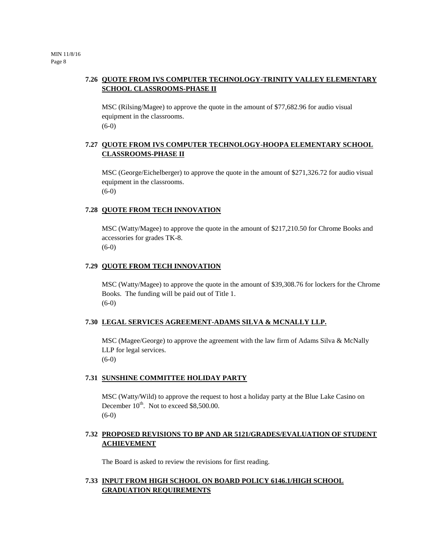## **7.26 QUOTE FROM IVS COMPUTER TECHNOLOGY-TRINITY VALLEY ELEMENTARY SCHOOL CLASSROOMS-PHASE II**

MSC (Rilsing/Magee) to approve the quote in the amount of \$77,682.96 for audio visual equipment in the classrooms. (6-0)

## **7.27 QUOTE FROM IVS COMPUTER TECHNOLOGY-HOOPA ELEMENTARY SCHOOL CLASSROOMS-PHASE II**

MSC (George/Eichelberger) to approve the quote in the amount of \$271,326.72 for audio visual equipment in the classrooms. (6-0)

#### **7.28 QUOTE FROM TECH INNOVATION**

MSC (Watty/Magee) to approve the quote in the amount of \$217,210.50 for Chrome Books and accessories for grades TK-8.  $(6-0)$ 

#### **7.29 QUOTE FROM TECH INNOVATION**

MSC (Watty/Magee) to approve the quote in the amount of \$39,308.76 for lockers for the Chrome Books. The funding will be paid out of Title 1. (6-0)

#### **7.30 LEGAL SERVICES AGREEMENT-ADAMS SILVA & MCNALLY LLP.**

MSC (Magee/George) to approve the agreement with the law firm of Adams Silva & McNally LLP for legal services. (6-0)

## **7.31 SUNSHINE COMMITTEE HOLIDAY PARTY**

MSC (Watty/Wild) to approve the request to host a holiday party at the Blue Lake Casino on December  $10^{th}$ . Not to exceed \$8,500.00. (6-0)

#### **7.32 PROPOSED REVISIONS TO BP AND AR 5121/GRADES/EVALUATION OF STUDENT ACHIEVEMENT**

The Board is asked to review the revisions for first reading.

#### **7.33 INPUT FROM HIGH SCHOOL ON BOARD POLICY 6146.1/HIGH SCHOOL GRADUATION REQUIREMENTS**